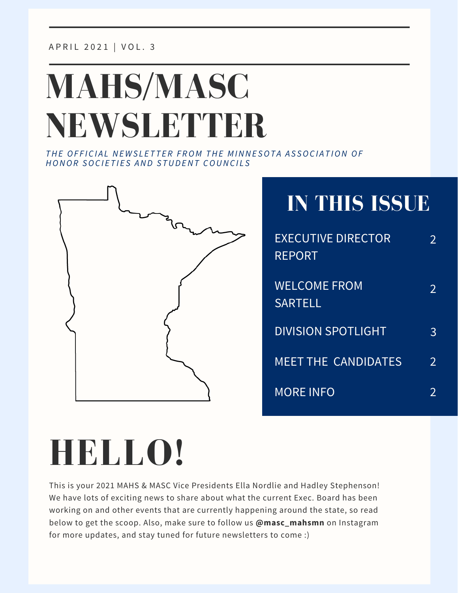A P R I L 2021 | VOL. 3

# **MAHS/MASC NEWSLETTER**

THE OFFICIAL NEWSLETTER FROM THE MINNESOTA ASSOCIATION OF *H O N O R S O C I E T I E S A N D S T U D E N T C O U N C I L S*



# **IN THIS ISSUE**

| <b>EXECUTIVE DIRECTOR</b><br><b>REPORT</b> | 2              |
|--------------------------------------------|----------------|
| <b>WELCOME FROM</b><br><b>SARTELL</b>      | 2              |
| <b>DIVISION SPOTLIGHT</b>                  | 3              |
| <b>MEET THE CANDIDATES</b>                 | $\overline{2}$ |
| <b>MORE INFO</b>                           | 2              |

# **HELLO!**

This is your 2021 MAHS & MASC Vice Presidents Ella Nordlie and Hadley Stephenson! We have lots of exciting news to share about what the current Exec. Board has been working on and other events that are currently happening around the state, so read below to get the scoop. Also, make sure to follow us **@masc\_mahsmn** on Instagram for more updates, and stay tuned for future newsletters to come :)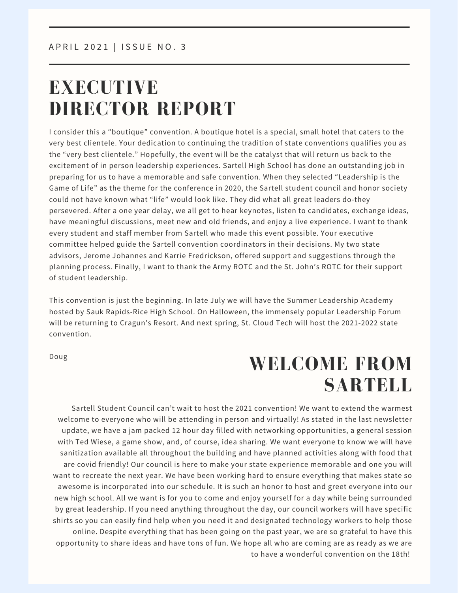#### A P R I L 2 0 2 1 | ISSUE N O. 3

# **EXECUTIVE DIRECTOR REPORT**

I consider this a "boutique" convention. A boutique hotel is a special, small hotel that caters to the very best clientele. Your dedication to continuing the tradition of state conventions qualifies you as the "very best clientele." Hopefully, the event will be the catalyst that will return us back to the excitement of in person leadership experiences. Sartell High School has done an outstanding job in preparing for us to have a memorable and safe convention. When they selected "Leadership is the Game of Life" as the theme for the conference in 2020, the Sartell student council and honor society could not have known what "life" would look like. They did what all great leaders do-they persevered. After a one year delay, we all get to hear keynotes, listen to candidates, exchange ideas, have meaningful discussions, meet new and old friends, and enjoy a live experience. I want to thank every student and staff member from Sartell who made this event possible. Your executive committee helped guide the Sartell convention coordinators in their decisions. My two state advisors, Jerome Johannes and Karrie Fredrickson, offered support and suggestions through the planning process. Finally, I want to thank the Army ROTC and the St. John's ROTC for their support of student leadership.

This convention is just the beginning. In late July we will have the Summer Leadership Academy hosted by Sauk Rapids-Rice High School. On Halloween, the immensely popular Leadership Forum will be returning to Cragun's Resort. And next spring, St. Cloud Tech will host the 2021-2022 state convention.

Doug

## **WELCOME FROM SARTELL**

sanitization available all throughout the building and have planned activities along with food that *is growing. We're* want to recreate the next year. We have been working hard to ensure everything that makes state so *proud to have 2 new* awesome is incorporated into our schedule. It is such an honor to host and greet everyone into our *doctors, 2 designers* new high school. All we want is for you to come and enjoy yourself for a day while being surrounded *and a lawyer!* shirts so you can easily find help when you need it and designated technology workers to help those Sartell Student Council can't wait to host the 2021 convention! We want to extend the warmest welcome to everyone who will be attending in person and virtually! As stated in the last newsletter update, we have a jam packed 12 hour day filled with networking opportunities, a general session with Ted Wiese, a game show, and, of course, idea sharing. We want everyone to know we will have are covid friendly! Our council is here to make your state experience memorable and one you will by great leadership. If you need anything throughout the day, our council workers will have specific online. Despite everything that has been going on the past year, we are so grateful to have this opportunity to share ideas and have tons of fun. We hope all who are coming are as ready as we are to have a wonderful convention on the 18th!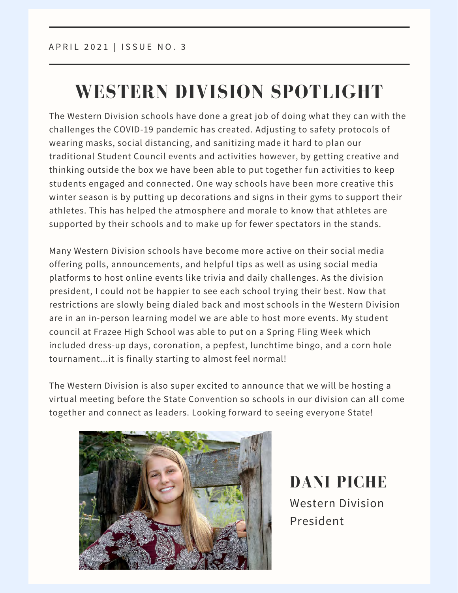# **WESTERN DIVISION SPOTLIGHT**

The Western Division schools have done a great job of doing what they can with the challenges the COVID-19 pandemic has created. Adjusting to safety protocols of wearing masks, social distancing, and sanitizing made it hard to plan our traditional Student Council events and activities however, by getting creative and thinking outside the box we have been able to put together fun activities to keep students engaged and connected. One way schools have been more creative this winter season is by putting up decorations and signs in their gyms to support their athletes. This has helped the atmosphere and morale to know that athletes are supported by their schools and to make up for fewer spectators in the stands.

Many Western Division schools have become more active on their social media offering polls, announcements, and helpful tips as well as using social media platforms to host online events like trivia and daily challenges. As the division president, I could not be happier to see each school trying their best. Now that restrictions are slowly being dialed back and most schools in the Western Division are in an in-person learning model we are able to host more events. My student council at Frazee High School was able to put on a Spring Fling Week which included dress-up days, coronation, a pepfest, lunchtime bingo, and a corn hole tournament...it is finally starting to almost feel normal!

The Western Division is also super excited to announce that we will be hosting a virtual meeting before the State Convention so schools in our division can all come together and connect as leaders. Looking forward to seeing everyone State!



**DANI PICHE** Western Division President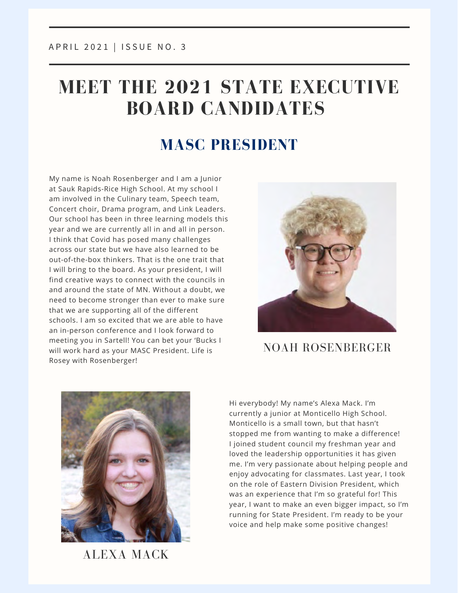## **MEET THE 2021 STATE EXECUTIVE BOARD CANDIDATES**

### **MASC PRESIDENT**

My name is Noah Rosenberger and I am a Junior at Sauk Rapids-Rice High School. At my school I am involved in the Culinary team, Speech team, Concert choir, Drama program, and Link Leaders. Our school has been in three learning models this year and we are currently all in and all in person. I think that Covid has posed many challenges across our state but we have also learned to be out-of-the-box thinkers. That is the one trait that I will bring to the board. As your president, I will find creative ways to connect with the councils in and around the state of MN. Without a doubt, we need to become stronger than ever to make sure that we are supporting all of the different schools. I am so excited that we are able to have an in-person conference and I look forward to meeting you in Sartell! You can bet your 'Bucks I will work hard as your MASC President. Life is Rosey with Rosenberger!



#### NOAH ROSENBERGER



Hi everybody! My name's Alexa Mack. I'm currently a junior at Monticello High School. Monticello is a small town, but that hasn't stopped me from wanting to make a difference! I joined student council my freshman year and loved the leadership opportunities it has given me. I'm very passionate about helping people and enjoy advocating for classmates. Last year, I took on the role of Eastern Division President, which was an experience that I'm so grateful for! This year, I want to make an even bigger impact, so I'm running for State President. I'm ready to be your voice and help make some positive changes!

ALEXA MACK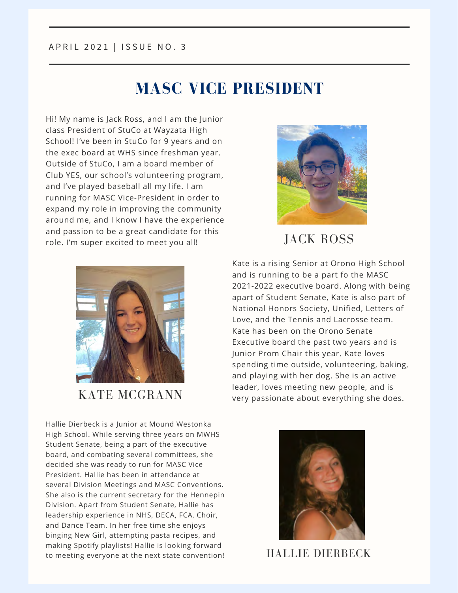## **MASC VICE PRESIDENT**

Hi! My name is Jack Ross, and I am the Junior class President of StuCo at Wayzata High School! I've been in StuCo for 9 years and on the exec board at WHS since freshman year. Outside of StuCo, I am a board member of Club YES, our school's volunteering program, and I've played baseball all my life. I am running for MASC Vice-President in order to expand my role in improving the community around me, and I know I have the experience and passion to be a great candidate for this role. I'm super excited to meet you all!



JACK ROSS



KATE MCGRANN

Hallie Dierbeck is a Junior at Mound Westonka High School. While serving three years on MWHS Student Senate, being a part of the executive board, and combating several committees, she decided she was ready to run for MASC Vice President. Hallie has been in attendance at several Division Meetings and MASC Conventions. She also is the current secretary for the Hennepin Division. Apart from Student Senate, Hallie has leadership experience in NHS, DECA, FCA, Choir, and Dance Team. In her free time she enjoys binging New Girl, attempting pasta recipes, and making Spotify playlists! Hallie is looking forward to meeting everyone at the next state convention!

Kate is a rising Senior at Orono High School and is running to be a part fo the MASC 2021-2022 executive board. Along with being apart of Student Senate, Kate is also part of National Honors Society, Unified, Letters of Love, and the Tennis and Lacrosse team. Kate has been on the Orono Senate Executive board the past two years and is Junior Prom Chair this year. Kate loves spending time outside, volunteering, baking, and playing with her dog. She is an active leader, loves meeting new people, and is very passionate about everything she does.



HALLIE DIERBECK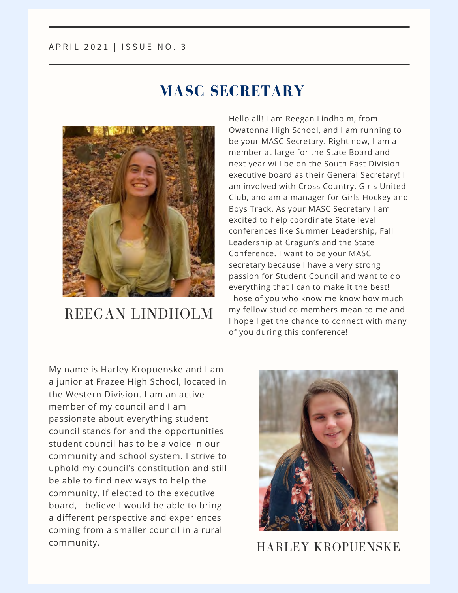## **MASC SECRETARY**



REEGAN LINDHOLM

Hello all! I am Reegan Lindholm, from Owatonna High School, and I am running to be your MASC Secretary. Right now, I am a member at large for the State Board and next year will be on the South East Division executive board as their General Secretary! I am involved with Cross Country, Girls United Club, and am a manager for Girls Hockey and Boys Track. As your MASC Secretary I am excited to help coordinate State level conferences like Summer Leadership, Fall Leadership at Cragun's and the State Conference. I want to be your MASC secretary because I have a very strong passion for Student Council and want to do everything that I can to make it the best! Those of you who know me know how much my fellow stud co members mean to me and I hope I get the chance to connect with many of you during this conference!

My name is Harley Kropuenske and I am a junior at Frazee High School, located in the Western Division. I am an active member of my council and I am passionate about everything student council stands for and the opportunities student council has to be a voice in our community and school system. I strive to uphold my council's constitution and still be able to find new ways to help the community. If elected to the executive board, I believe I would be able to bring a different perspective and experiences coming from a smaller council in a rural community.



HARLEY KROPUENSKE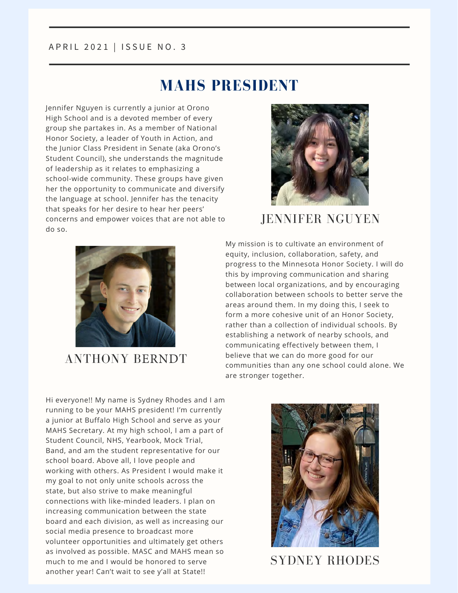#### A P R I L 2 0 2 1 | ISSUE NO. 3

### **MAHS PRESIDENT**

Jennifer Nguyen is currently a junior at Orono High School and is a devoted member of every group she partakes in. As a member of National Honor Society, a leader of Youth in Action, and the Junior Class President in Senate (aka Orono's Student Council), she understands the magnitude of leadership as it relates to emphasizing a school-wide community. These groups have given her the opportunity to communicate and diversify the language at school. Jennifer has the tenacity that speaks for her desire to hear her peers' concerns and empower voices that are not able to do so.



#### ANTHONY BERNDT



#### JENNIFER NGUYEN

My mission is to cultivate an environment of equity, inclusion, collaboration, safety, and progress to the Minnesota Honor Society. I will do this by improving communication and sharing between local organizations, and by encouraging collaboration between schools to better serve the areas around them. In my doing this, I seek to form a more cohesive unit of an Honor Society, rather than a collection of individual schools. By establishing a network of nearby schools, and communicating effectively between them, I believe that we can do more good for our communities than any one school could alone. We are stronger together.

Hi everyone!! My name is Sydney Rhodes and I am running to be your MAHS president! I'm currently a junior at Buffalo High School and serve as your MAHS Secretary. At my high school, I am a part of Student Council, NHS, Yearbook, Mock Trial, Band, and am the student representative for our school board. Above all, I love people and working with others. As President I would make it my goal to not only unite schools across the state, but also strive to make meaningful connections with like-minded leaders. I plan on increasing communication between the state board and each division, as well as increasing our social media presence to broadcast more volunteer opportunities and ultimately get others as involved as possible. MASC and MAHS mean so much to me and I would be honored to serve another year! Can't wait to see y'all at State!!



SYDNEY RHODES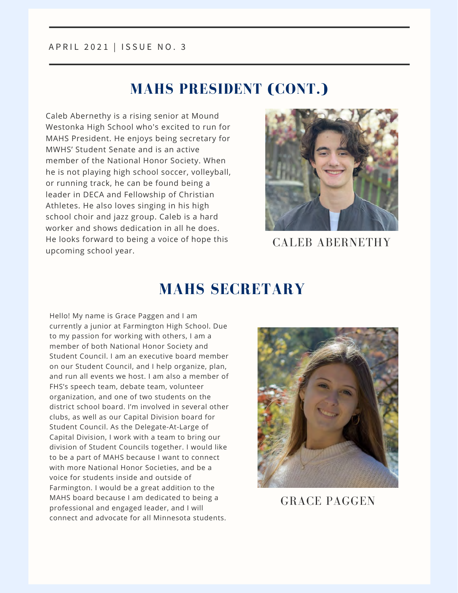### **MAHS PRESIDENT (CONT.)**

Caleb Abernethy is a rising senior at Mound Westonka High School who's excited to run for MAHS President. He enjoys being secretary for MWHS' Student Senate and is an active member of the National Honor Society. When he is not playing high school soccer, volleyball, or running track, he can be found being a leader in DECA and Fellowship of Christian Athletes. He also loves singing in his high school choir and jazz group. Caleb is a hard worker and shows dedication in all he does. He looks forward to being a voice of hope this upcoming school year.



CALEB ABERNETHY

#### **MAHS SECRETARY**

Hello! My name is Grace Paggen and I am currently a junior at Farmington High School. Due to my passion for working with others, I am a member of both National Honor Society and Student Council. I am an executive board member on our Student Council, and I help organize, plan, and run all events we host. I am also a member of FHS's speech team, debate team, volunteer organization, and one of two students on the district school board. I'm involved in several other clubs, as well as our Capital Division board for Student Council. As the Delegate-At-Large of Capital Division, I work with a team to bring our division of Student Councils together. I would like to be a part of MAHS because I want to connect with more National Honor Societies, and be a voice for students inside and outside of Farmington. I would be a great addition to the MAHS board because I am dedicated to being a professional and engaged leader, and I will connect and advocate for all Minnesota students.



GRACE PAGGEN